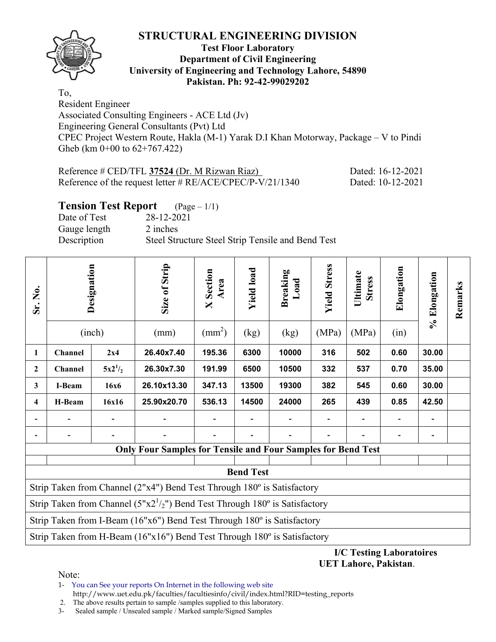

## **Test Floor Laboratory Department of Civil Engineering University of Engineering and Technology Lahore, 54890 Pakistan. Ph: 92-42-99029202**

To, Resident Engineer Associated Consulting Engineers - ACE Ltd (Jv) Engineering General Consultants (Pvt) Ltd CPEC Project Western Route, Hakla (M-1) Yarak D.I Khan Motorway, Package – V to Pindi Gheb (km 0+00 to 62+767.422)

| Reference # CED/TFL 37524 (Dr. M Rizwan Riaz)               | Dated: 16-12-2021 |
|-------------------------------------------------------------|-------------------|
| Reference of the request letter # $RE/ACE/CPEC/P-V/21/1340$ | Dated: 10-12-2021 |

# **Tension Test Report** (Page – 1/1)

Date of Test 28-12-2021 Gauge length 2 inches Description Steel Structure Steel Strip Tensile and Bend Test

| Sr. No.      |                                                                         | Designation<br>(inch) | Size of Strip<br>(mm)                                                            | <b>X</b> Section<br>Area<br>$\text{(mm}^2)$ | <b>Yield load</b><br>(kg) | Breaking<br>Load<br>(kg) | <b>Yield Stress</b><br>(MPa) | Ultimate<br><b>Stress</b><br>(MPa) | Elongation<br>(in) | % Elongation | Remarks |
|--------------|-------------------------------------------------------------------------|-----------------------|----------------------------------------------------------------------------------|---------------------------------------------|---------------------------|--------------------------|------------------------------|------------------------------------|--------------------|--------------|---------|
| 1            | Channel                                                                 | 2x4                   | 26.40x7.40                                                                       | 195.36                                      | 6300                      | 10000                    | 316                          | 502                                | 0.60               | 30.00        |         |
| $\mathbf{2}$ | Channel                                                                 | $5x2^{1/2}$           | 26.30x7.30                                                                       | 191.99                                      | 6500                      | 10500                    | 332                          | 537                                | 0.70               | 35.00        |         |
| $\mathbf{3}$ | I-Beam                                                                  | <b>16x6</b>           | 26.10x13.30                                                                      | 347.13                                      | 13500                     | 19300                    | 382                          | 545                                | 0.60               | 30.00        |         |
| 4            | H-Beam                                                                  | 16x16                 | 25.90x20.70                                                                      | 536.13                                      | 14500                     | 24000                    | 265                          | 439                                | 0.85               | 42.50        |         |
|              |                                                                         |                       |                                                                                  |                                             |                           |                          |                              |                                    |                    |              |         |
|              |                                                                         |                       |                                                                                  |                                             |                           |                          |                              |                                    |                    |              |         |
|              |                                                                         |                       | <b>Only Four Samples for Tensile and Four Samples for Bend Test</b>              |                                             |                           |                          |                              |                                    |                    |              |         |
|              |                                                                         |                       |                                                                                  |                                             |                           |                          |                              |                                    |                    |              |         |
|              | <b>Bend Test</b>                                                        |                       |                                                                                  |                                             |                           |                          |                              |                                    |                    |              |         |
|              | Strip Taken from Channel (2"x4") Bend Test Through 180° is Satisfactory |                       |                                                                                  |                                             |                           |                          |                              |                                    |                    |              |         |
|              |                                                                         |                       | Strip Taken from Channel ( $5"x2' / 2"$ ) Bend Test Through 180° is Satisfactory |                                             |                           |                          |                              |                                    |                    |              |         |
|              |                                                                         |                       | Strip Taken from I-Beam (16"x6") Bend Test Through 180° is Satisfactory          |                                             |                           |                          |                              |                                    |                    |              |         |
|              |                                                                         |                       | Strip Taken from H-Beam (16"x16") Bend Test Through 180° is Satisfactory         |                                             |                           |                          |                              |                                    |                    |              |         |

#### **I/C Testing Laboratoires UET Lahore, Pakistan**.

Note:

1- You can See your reports On Internet in the following web site http://www.uet.edu.pk/faculties/facultiesinfo/civil/index.html?RID=testing\_reports

2. The above results pertain to sample /samples supplied to this laboratory.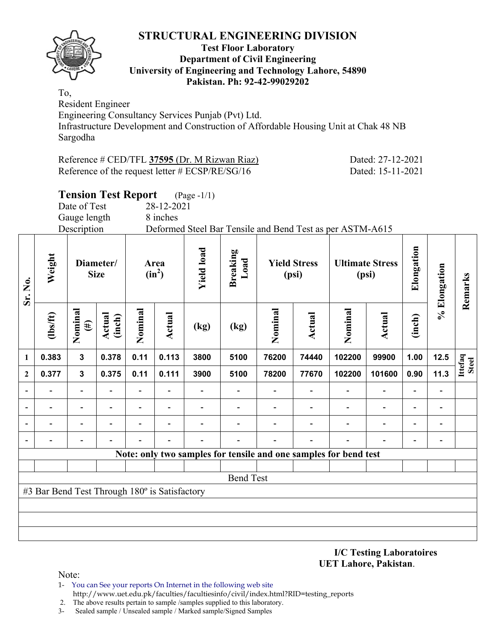

#### **Test Floor Laboratory Department of Civil Engineering University of Engineering and Technology Lahore, 54890 Pakistan. Ph: 92-42-99029202**

To, Resident Engineer

Engineering Consultancy Services Punjab (Pvt) Ltd.

Infrastructure Development and Construction of Affordable Housing Unit at Chak 48 NB Sargodha

| Reference # CED/TFL 37595 (Dr. M Rizwan Riaz)      | Dated: 27-12-2021 |
|----------------------------------------------------|-------------------|
| Reference of the request letter $\#$ ECSP/RE/SG/16 | Dated: 15-11-2021 |

#### **Tension Test Report** (Page -1/1) Date of Test 28-12-2021 Gauge length 8 inches Description Deformed Steel Bar Tensile and Bend Test as per ASTM-A615 **Elongation Yield load**  Elongation **Yield load Breaking Weight Load Diameter/ Yield Stress Ultimate Stress Area % Elongation**  % Elongation  $(in^2)$ **Size (psi) (psi) Remarks**  Remarks **Sr. No. Nominal Nominal Nominal Nominal**  Nominal Nominal Nominal Nominal **(lbs/ft) Actual Actual Actual Actual (inch) (inch) (#) (kg) (kg) Ittefaq Steel 1 0.383 3 0.378 0.11 0.113 3800 5100 76200 74440 102200 99900 1.00 12.5 2 0.377 3 0.375 0.11 0.111 3900 5100 78200 77670 102200 101600 0.90 11.3 - - - - - - - - - - - - - - - - - - - - - - - - - - - - - - - - - - - - - - - - - - - - - - - - - - - - - - - - Note: only two samples for tensile and one samples for bend test** Bend Test #3 Bar Bend Test Through 180º is Satisfactory

**I/C Testing Laboratoires UET Lahore, Pakistan**.

Note:

1- You can See your reports On Internet in the following web site http://www.uet.edu.pk/faculties/facultiesinfo/civil/index.html?RID=testing\_reports

2. The above results pertain to sample /samples supplied to this laboratory.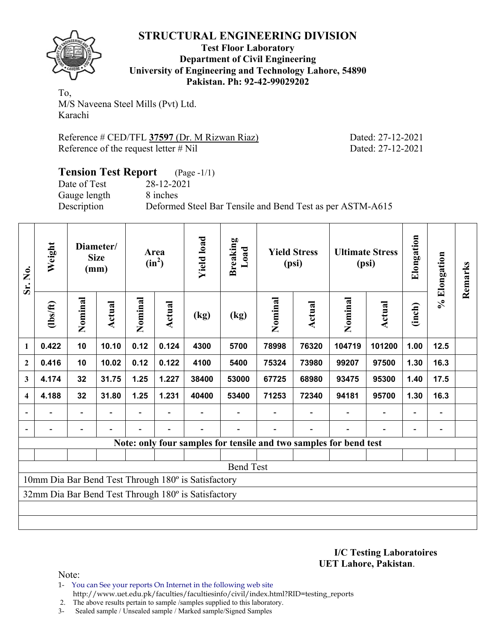

**Test Floor Laboratory Department of Civil Engineering University of Engineering and Technology Lahore, 54890 Pakistan. Ph: 92-42-99029202** 

To, M/S Naveena Steel Mills (Pvt) Ltd. Karachi

Reference # CED/TFL **37597** (Dr. M Rizwan Riaz) Dated: 27-12-2021 Reference of the request letter # Nil Dated: 27-12-2021

#### **Tension Test Report** (Page -1/1) Date of Test 28-12-2021 Gauge length 8 inches Description Deformed Steel Bar Tensile and Bend Test as per ASTM-A615

| Sr. No.                  | Weight                       |                          | Diameter/<br><b>Size</b><br>(mm) |         | Area<br>$(in^2)$ | <b>Yield load</b>                                   | <b>Breaking</b><br>Load |                                                                   | <b>Yield Stress</b><br>(psi) |         | <b>Ultimate Stress</b><br>(psi) | Elongation | % Elongation             | Remarks |
|--------------------------|------------------------------|--------------------------|----------------------------------|---------|------------------|-----------------------------------------------------|-------------------------|-------------------------------------------------------------------|------------------------------|---------|---------------------------------|------------|--------------------------|---------|
|                          | $lbsft$                      | Nominal                  | Actual                           | Nominal | Actual           | (kg)                                                | (kg)                    | Nominal                                                           | <b>Actual</b>                | Nominal | Actual                          | (inch)     |                          |         |
| $\mathbf{1}$             | 0.422                        | 10                       | 10.10                            | 0.12    | 0.124            | 4300                                                | 5700                    | 78998                                                             | 76320                        | 104719  | 101200                          | 1.00       | 12.5                     |         |
| $\mathbf{2}$             | 0.416                        | 10                       | 10.02                            | 0.12    | 0.122            | 4100                                                | 5400                    | 75324                                                             | 73980                        | 99207   | 97500                           | 1.30       | 16.3                     |         |
| 3                        | 4.174                        | 32                       | 31.75                            | 1.25    | 1.227            | 38400                                               | 53000                   | 67725                                                             | 68980                        | 93475   | 95300                           | 1.40       | 17.5                     |         |
| $\overline{\mathbf{4}}$  | 4.188                        | 32                       | 31.80                            | 1.25    | 1.231            | 40400                                               | 53400                   | 71253                                                             | 72340                        | 94181   | 95700                           | 1.30       | 16.3                     |         |
| $\overline{\phantom{a}}$ | $\qquad \qquad \blacksquare$ | $\overline{\phantom{a}}$ |                                  |         |                  |                                                     |                         |                                                                   |                              |         |                                 |            | $\overline{\phantom{a}}$ |         |
| $\blacksquare$           | $\overline{\phantom{0}}$     | $\overline{\phantom{a}}$ |                                  |         |                  |                                                     |                         |                                                                   |                              |         |                                 |            | -                        |         |
|                          |                              |                          |                                  |         |                  |                                                     |                         | Note: only four samples for tensile and two samples for bend test |                              |         |                                 |            |                          |         |
|                          |                              |                          |                                  |         |                  |                                                     |                         |                                                                   |                              |         |                                 |            |                          |         |
|                          |                              |                          |                                  |         |                  |                                                     | <b>Bend Test</b>        |                                                                   |                              |         |                                 |            |                          |         |
|                          |                              |                          |                                  |         |                  | 10mm Dia Bar Bend Test Through 180° is Satisfactory |                         |                                                                   |                              |         |                                 |            |                          |         |
|                          |                              |                          |                                  |         |                  | 32mm Dia Bar Bend Test Through 180° is Satisfactory |                         |                                                                   |                              |         |                                 |            |                          |         |
|                          |                              |                          |                                  |         |                  |                                                     |                         |                                                                   |                              |         |                                 |            |                          |         |
|                          |                              |                          |                                  |         |                  |                                                     |                         |                                                                   |                              |         |                                 |            |                          |         |

**I/C Testing Laboratoires UET Lahore, Pakistan**.

Note:

1- You can See your reports On Internet in the following web site http://www.uet.edu.pk/faculties/facultiesinfo/civil/index.html?RID=testing\_reports

2. The above results pertain to sample /samples supplied to this laboratory.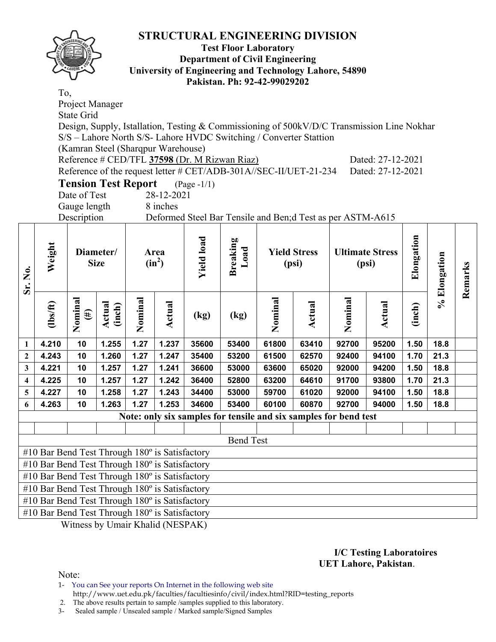

#### **Test Floor Laboratory Department of Civil Engineering University of Engineering and Technology Lahore, 54890 Pakistan. Ph: 92-42-99029202**

To, Project Manager State Grid Design, Supply, Istallation, Testing & Commissioning of 500kV/D/C Transmission Line Nokhar S/S – Lahore North S/S- Lahore HVDC Switching / Converter Stattion (Kamran Steel (Sharqpur Warehouse) Reference # CED/TFL **37598** (Dr. M Rizwan Riaz) Dated: 27-12-2021 Reference of the request letter # CET/ADB-301A//SEC-II/UET-21-234 Dated: 27-12-2021 **Tension Test Report** (Page -1/1)

Date of Test 28-12-2021

Gauge length 8 inches

Description Deformed Steel Bar Tensile and Ben;d Test as per ASTM-A615

| Sr. No.          | Weight                                                |                   | Diameter/<br><b>Size</b> |         | Area<br>$(in^2)$ | <b>Yield load</b> | <b>Breaking</b><br>Load                                          |         | <b>Yield Stress</b><br>(psi) |         | <b>Ultimate Stress</b><br>(psi) | Elongation | % Elongation | Remarks |
|------------------|-------------------------------------------------------|-------------------|--------------------------|---------|------------------|-------------------|------------------------------------------------------------------|---------|------------------------------|---------|---------------------------------|------------|--------------|---------|
|                  | $\frac{2}{10}$                                        | Nominal<br>$(\#)$ | Actual<br>(inch)         | Nominal | Actual           | (kg)              | (kg)                                                             | Nominal | Actual                       | Nominal | Actual                          | (inch)     |              |         |
| 1                | 4.210                                                 | 10                | 1.255                    | 1.27    | 1.237            | 35600             | 53400                                                            | 61800   | 63410                        | 92700   | 95200                           | 1.50       | 18.8         |         |
| $\boldsymbol{2}$ | 4.243                                                 | 10                | 1.260                    | 1.27    | 1.247            | 35400             | 53200                                                            | 61500   | 62570                        | 92400   | 94100                           | 1.70       | 21.3         |         |
| 3                | 4.221                                                 | 10                | 1.257                    | 1.27    | 1.241            | 36600             | 53000                                                            | 63600   | 65020                        | 92000   | 94200                           | 1.50       | 18.8         |         |
| 4                | 4.225                                                 | 10                | 1.257                    | 1.27    | 1.242            | 36400             | 52800                                                            | 63200   | 64610                        | 91700   | 93800                           | 1.70       | 21.3         |         |
| 5                | 4.227                                                 | 10                | 1.258                    | 1.27    | 1.243            | 34400             | 53000                                                            | 59700   | 61020                        | 92000   | 94100                           | 1.50       | 18.8         |         |
| 6                | 4.263                                                 | 10                | 1.263                    | 1.27    | 1.253            | 34600             | 53400                                                            | 60100   | 60870                        | 92700   | 94000                           | 1.50       | 18.8         |         |
|                  |                                                       |                   |                          |         |                  |                   | Note: only six samples for tensile and six samples for bend test |         |                              |         |                                 |            |              |         |
|                  |                                                       |                   |                          |         |                  |                   |                                                                  |         |                              |         |                                 |            |              |         |
|                  |                                                       |                   |                          |         |                  |                   | <b>Bend Test</b>                                                 |         |                              |         |                                 |            |              |         |
|                  | #10 Bar Bend Test Through 180° is Satisfactory        |                   |                          |         |                  |                   |                                                                  |         |                              |         |                                 |            |              |         |
|                  | #10 Bar Bend Test Through $180^\circ$ is Satisfactory |                   |                          |         |                  |                   |                                                                  |         |                              |         |                                 |            |              |         |
|                  | #10 Bar Bend Test Through 180° is Satisfactory        |                   |                          |         |                  |                   |                                                                  |         |                              |         |                                 |            |              |         |
|                  | #10 Bar Bend Test Through 180° is Satisfactory        |                   |                          |         |                  |                   |                                                                  |         |                              |         |                                 |            |              |         |
|                  | #10 Bar Bend Test Through 180° is Satisfactory        |                   |                          |         |                  |                   |                                                                  |         |                              |         |                                 |            |              |         |
|                  | #10 Bar Bend Test Through 180° is Satisfactory        |                   |                          |         |                  |                   |                                                                  |         |                              |         |                                 |            |              |         |

Witness by Umair Khalid (NESPAK)

#### **I/C Testing Laboratoires UET Lahore, Pakistan**.

Note:

1- You can See your reports On Internet in the following web site http://www.uet.edu.pk/faculties/facultiesinfo/civil/index.html?RID=testing\_reports

2. The above results pertain to sample /samples supplied to this laboratory.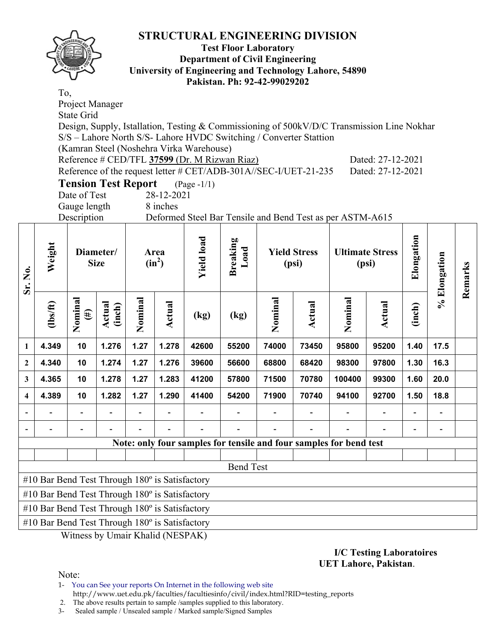

#### **Test Floor Laboratory Department of Civil Engineering University of Engineering and Technology Lahore, 54890 Pakistan. Ph: 92-42-99029202**

To, Project Manager State Grid Design, Supply, Istallation, Testing & Commissioning of 500kV/D/C Transmission Line Nokhar S/S – Lahore North S/S- Lahore HVDC Switching / Converter Stattion (Kamran Steel (Noshehra Virka Warehouse) Reference # CED/TFL **37599** (Dr. M Rizwan Riaz) Dated: 27-12-2021 Reference of the request letter # CET/ADB-301A//SEC-I/UET-21-235 Dated: 27-12-2021 **Tension Test Report** (Page -1/1)

| Tension Test Report |            | (rag |
|---------------------|------------|------|
| Date of Test        | 28-12-2021 |      |
|                     |            |      |

Gauge length 8 inches

Description Deformed Steel Bar Tensile and Bend Test as per ASTM-A615

| Sr. No.      | Weight                                         |                   | Diameter/<br><b>Size</b> | Area<br>$(in^2)$ |               | <b>Yield load</b> | <b>Breaking</b><br>Load |         | <b>Yield Stress</b><br>(psi) |                                                                    | <b>Ultimate Stress</b><br>(psi) | Elongation               | % Elongation             | Remarks |
|--------------|------------------------------------------------|-------------------|--------------------------|------------------|---------------|-------------------|-------------------------|---------|------------------------------|--------------------------------------------------------------------|---------------------------------|--------------------------|--------------------------|---------|
|              | $\frac{2}{10}$                                 | Nominal<br>$(\#)$ | Actual<br>(inch)         | Nominal          | <b>Actual</b> | (kg)              | (kg)                    | Nominal | Actual                       | Nominal                                                            | <b>Actual</b>                   | (inch)                   |                          |         |
| 1            | 4.349                                          | 10                | 1.276                    | 1.27             | 1.278         | 42600             | 55200                   | 74000   | 73450                        | 95800                                                              | 95200                           | 1.40                     | 17.5                     |         |
| $\mathbf{2}$ | 4.340                                          | 10                | 1.274                    | 1.27             | 1.276         | 39600             | 56600                   | 68800   | 68420                        | 98300                                                              | 97800                           | 1.30                     | 16.3                     |         |
| 3            | 4.365                                          | 10                | 1.278                    | 1.27             | 1.283         | 41200             | 57800                   | 71500   | 70780                        | 100400                                                             | 99300                           | 1.60                     | 20.0                     |         |
| 4            | 4.389                                          | 10                | 1.282                    | 1.27             | 1.290         | 41400             | 54200                   | 71900   | 70740                        | 94100                                                              | 92700                           | 1.50                     | 18.8                     |         |
|              |                                                |                   |                          |                  |               |                   |                         |         |                              |                                                                    | $\blacksquare$                  | $\overline{\phantom{a}}$ | $\overline{\phantom{a}}$ |         |
|              |                                                |                   |                          |                  |               |                   |                         |         |                              |                                                                    |                                 |                          |                          |         |
|              |                                                |                   |                          |                  |               |                   |                         |         |                              | Note: only four samples for tensile and four samples for bend test |                                 |                          |                          |         |
|              |                                                |                   |                          |                  |               |                   |                         |         |                              |                                                                    |                                 |                          |                          |         |
|              |                                                |                   |                          |                  |               |                   | <b>Bend Test</b>        |         |                              |                                                                    |                                 |                          |                          |         |
|              | #10 Bar Bend Test Through 180° is Satisfactory |                   |                          |                  |               |                   |                         |         |                              |                                                                    |                                 |                          |                          |         |
|              | #10 Bar Bend Test Through 180° is Satisfactory |                   |                          |                  |               |                   |                         |         |                              |                                                                    |                                 |                          |                          |         |
|              | #10 Bar Bend Test Through 180° is Satisfactory |                   |                          |                  |               |                   |                         |         |                              |                                                                    |                                 |                          |                          |         |
|              | #10 Bar Bend Test Through 180° is Satisfactory |                   |                          |                  |               |                   |                         |         |                              |                                                                    |                                 |                          |                          |         |

Witness by Umair Khalid (NESPAK)

#### **I/C Testing Laboratoires UET Lahore, Pakistan**.

Note:

1- You can See your reports On Internet in the following web site

http://www.uet.edu.pk/faculties/facultiesinfo/civil/index.html?RID=testing\_reports

 2. The above results pertain to sample /samples supplied to this laboratory. 3- Sealed sample / Unsealed sample / Marked sample/Signed Samples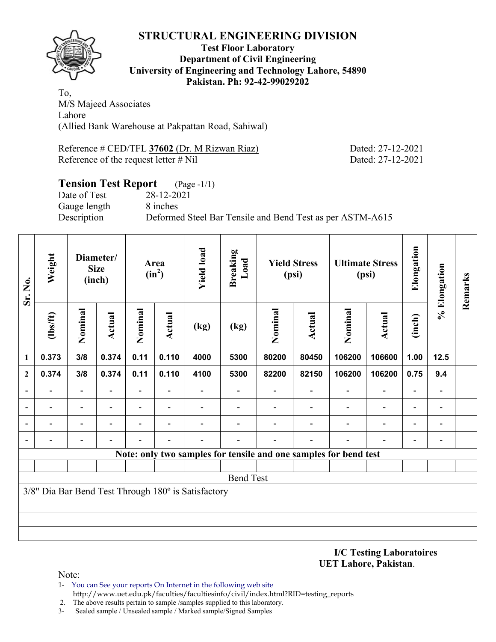

#### **Test Floor Laboratory Department of Civil Engineering University of Engineering and Technology Lahore, 54890 Pakistan. Ph: 92-42-99029202**

To, M/S Majeed Associates Lahore (Allied Bank Warehouse at Pakpattan Road, Sahiwal)

Reference # CED/TFL **37602** (Dr. M Rizwan Riaz) Dated: 27-12-2021 Reference of the request letter # Nil Dated: 27-12-2021

# **Tension Test Report** (Page -1/1) Date of Test 28-12-2021 Gauge length 8 inches Description Deformed Steel Bar Tensile and Bend Test as per ASTM-A615

| Sr. No.      | Weight                       |                          | Diameter/<br><b>Size</b><br>(inch) |                          | Area<br>$(in^2)$         | <b>Yield load</b>                                   | <b>Breaking</b><br>Load |                                                                  | <b>Yield Stress</b><br>(psi) |                          | <b>Ultimate Stress</b><br>(psi) | Elongation               | % Elongation             | Remarks |
|--------------|------------------------------|--------------------------|------------------------------------|--------------------------|--------------------------|-----------------------------------------------------|-------------------------|------------------------------------------------------------------|------------------------------|--------------------------|---------------------------------|--------------------------|--------------------------|---------|
|              | $\frac{2}{10}$               | Nominal                  | <b>Actual</b>                      | Nominal                  | <b>Actual</b>            | (kg)                                                | (kg)                    | Nominal                                                          | Actual                       | Nominal                  | <b>Actual</b>                   | (inch)                   |                          |         |
| $\mathbf{1}$ | 0.373                        | 3/8                      | 0.374                              | 0.11                     | 0.110                    | 4000                                                | 5300                    | 80200                                                            | 80450                        | 106200                   | 106600                          | 1.00                     | 12.5                     |         |
| $\mathbf{2}$ | 0.374                        | 3/8                      | 0.374                              | 0.11                     | 0.110                    | 4100                                                | 5300                    | 82200                                                            | 82150                        | 106200                   | 106200                          | 0.75                     | 9.4                      |         |
|              | $\qquad \qquad \blacksquare$ | $\overline{\phantom{a}}$ | $\blacksquare$                     | Ξ.                       | $\blacksquare$           |                                                     |                         |                                                                  | $\overline{\phantom{0}}$     | $\overline{\phantom{0}}$ | $\overline{\phantom{a}}$        | $\overline{\phantom{a}}$ | $\overline{\phantom{a}}$ |         |
|              | -                            | $\overline{\phantom{a}}$ | $\blacksquare$                     | $\overline{\phantom{0}}$ | $\overline{\phantom{0}}$ |                                                     |                         |                                                                  |                              |                          | $\overline{\phantom{0}}$        | $\overline{\phantom{a}}$ | $\overline{\phantom{a}}$ |         |
|              | $\blacksquare$               | $\overline{\phantom{a}}$ |                                    | $\overline{\phantom{0}}$ | $\blacksquare$           |                                                     |                         |                                                                  |                              | $\overline{\phantom{0}}$ | $\overline{\phantom{0}}$        | $\overline{\phantom{a}}$ | $\blacksquare$           |         |
|              | $\overline{a}$               | $\overline{\phantom{a}}$ |                                    |                          |                          |                                                     |                         |                                                                  |                              |                          | $\overline{a}$                  | $\overline{\phantom{a}}$ | $\blacksquare$           |         |
|              |                              |                          |                                    |                          |                          |                                                     |                         | Note: only two samples for tensile and one samples for bend test |                              |                          |                                 |                          |                          |         |
|              |                              |                          |                                    |                          |                          |                                                     |                         |                                                                  |                              |                          |                                 |                          |                          |         |
|              |                              |                          |                                    |                          |                          |                                                     | <b>Bend Test</b>        |                                                                  |                              |                          |                                 |                          |                          |         |
|              |                              |                          |                                    |                          |                          | 3/8" Dia Bar Bend Test Through 180° is Satisfactory |                         |                                                                  |                              |                          |                                 |                          |                          |         |
|              |                              |                          |                                    |                          |                          |                                                     |                         |                                                                  |                              |                          |                                 |                          |                          |         |
|              |                              |                          |                                    |                          |                          |                                                     |                         |                                                                  |                              |                          |                                 |                          |                          |         |
|              |                              |                          |                                    |                          |                          |                                                     |                         |                                                                  |                              |                          |                                 |                          |                          |         |

**I/C Testing Laboratoires UET Lahore, Pakistan**.

- 1- You can See your reports On Internet in the following web site http://www.uet.edu.pk/faculties/facultiesinfo/civil/index.html?RID=testing\_reports
- 2. The above results pertain to sample /samples supplied to this laboratory.
- 3- Sealed sample / Unsealed sample / Marked sample/Signed Samples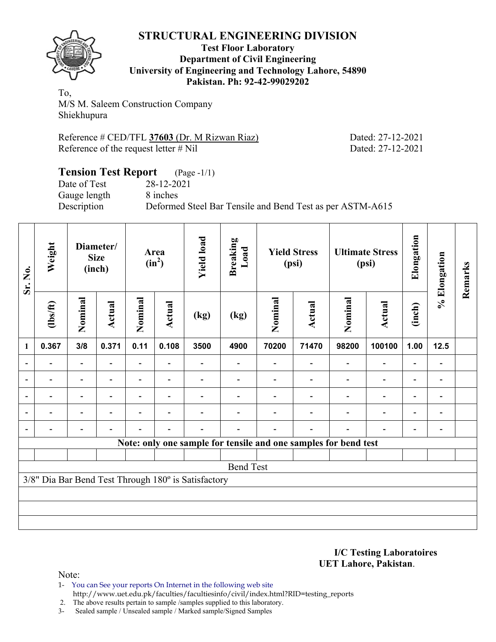

#### **Test Floor Laboratory Department of Civil Engineering University of Engineering and Technology Lahore, 54890 Pakistan. Ph: 92-42-99029202**

To, M/S M. Saleem Construction Company Shiekhupura

Reference # CED/TFL **37603** (Dr. M Rizwan Riaz) Dated: 27-12-2021 Reference of the request letter # Nil Dated: 27-12-2021

#### **Tension Test Report** (Page -1/1) Date of Test 28-12-2021 Gauge length 8 inches Description Deformed Steel Bar Tensile and Bend Test as per ASTM-A615

| Sr. No.                  | Weight         |                | Diameter/<br><b>Size</b><br>(inch) | Area<br>$(in^2)$ |        | <b>Yield load</b><br><b>Breaking</b><br>Load        |                                                                 | <b>Yield Stress</b><br>(psi) |        | <b>Ultimate Stress</b><br>(psi) |               | Elongation | % Elongation                 | Remarks |
|--------------------------|----------------|----------------|------------------------------------|------------------|--------|-----------------------------------------------------|-----------------------------------------------------------------|------------------------------|--------|---------------------------------|---------------|------------|------------------------------|---------|
|                          | $\frac{2}{10}$ | Nominal        | <b>Actual</b>                      | Nominal          | Actual | (kg)                                                | (kg)                                                            | Nominal                      | Actual | Nominal                         | <b>Actual</b> | (inch)     |                              |         |
| 1                        | 0.367          | 3/8            | 0.371                              | 0.11             | 0.108  | 3500                                                | 4900                                                            | 70200                        | 71470  | 98200                           | 100100        | 1.00       | $12.5$                       |         |
| $\overline{\phantom{0}}$ |                |                |                                    | $\blacksquare$   |        |                                                     |                                                                 |                              |        |                                 |               |            | $\qquad \qquad \blacksquare$ |         |
| $\overline{\phantom{a}}$ |                |                |                                    |                  |        |                                                     |                                                                 |                              |        |                                 |               |            |                              |         |
| $\overline{\phantom{a}}$ |                | $\overline{a}$ |                                    | -                |        |                                                     |                                                                 |                              |        |                                 |               |            | $\overline{a}$               |         |
| $\overline{\phantom{a}}$ |                |                |                                    |                  |        |                                                     |                                                                 |                              |        |                                 |               |            |                              |         |
| $\overline{\phantom{a}}$ |                |                |                                    |                  |        |                                                     |                                                                 |                              |        |                                 |               |            | $\overline{a}$               |         |
|                          |                |                |                                    |                  |        |                                                     | Note: only one sample for tensile and one samples for bend test |                              |        |                                 |               |            |                              |         |
|                          |                |                |                                    |                  |        |                                                     |                                                                 |                              |        |                                 |               |            |                              |         |
|                          |                |                |                                    |                  |        |                                                     | <b>Bend Test</b>                                                |                              |        |                                 |               |            |                              |         |
|                          |                |                |                                    |                  |        | 3/8" Dia Bar Bend Test Through 180° is Satisfactory |                                                                 |                              |        |                                 |               |            |                              |         |
|                          |                |                |                                    |                  |        |                                                     |                                                                 |                              |        |                                 |               |            |                              |         |
|                          |                |                |                                    |                  |        |                                                     |                                                                 |                              |        |                                 |               |            |                              |         |
|                          |                |                |                                    |                  |        |                                                     |                                                                 |                              |        |                                 |               |            |                              |         |

**I/C Testing Laboratoires UET Lahore, Pakistan**.

Note:

1- You can See your reports On Internet in the following web site http://www.uet.edu.pk/faculties/facultiesinfo/civil/index.html?RID=testing\_reports

2. The above results pertain to sample /samples supplied to this laboratory.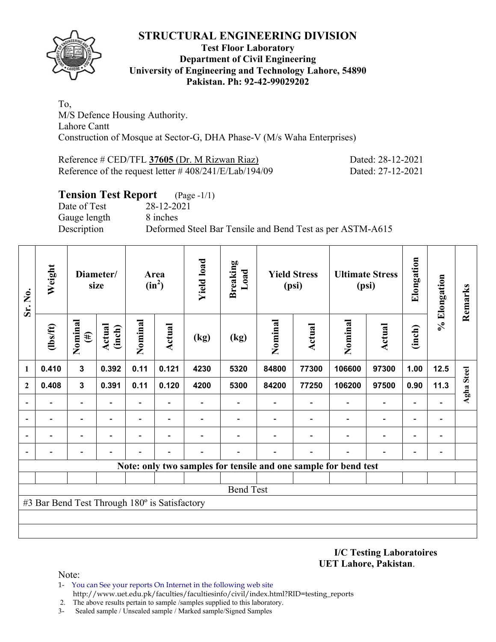

## **Test Floor Laboratory Department of Civil Engineering University of Engineering and Technology Lahore, 54890 Pakistan. Ph: 92-42-99029202**

To, M/S Defence Housing Authority. Lahore Cantt Construction of Mosque at Sector-G, DHA Phase-V (M/s Waha Enterprises)

Reference # CED/TFL **37605** (Dr. M Rizwan Riaz) Dated: 28-12-2021 Reference of the request letter # 408/241/E/Lab/194/09 Dated: 27-12-2021

# **Tension Test Report** (Page -1/1) Date of Test 28-12-2021 Gauge length 8 inches Description Deformed Steel Bar Tensile and Bend Test as per ASTM-A615

| Sr. No.      | Weight                                        |                          | Diameter/<br>size       |                | Area<br>$(in^2)$         | <b>Yield load</b> | <b>Breaking</b><br>Load |         | <b>Yield Stress</b><br>(psi) |                                                                 | <b>Ultimate Stress</b><br>(psi) |        | % Elongation   | Remarks    |
|--------------|-----------------------------------------------|--------------------------|-------------------------|----------------|--------------------------|-------------------|-------------------------|---------|------------------------------|-----------------------------------------------------------------|---------------------------------|--------|----------------|------------|
|              | $\frac{2}{10}$                                | Nominal<br>$(\#)$        | <b>Actual</b><br>(inch) | Nominal        | Actual                   | (kg)              | (kg)                    | Nominal | <b>Actual</b>                | Nominal                                                         | <b>Actual</b>                   | (inch) |                |            |
| 1            | 0.410                                         | $\mathbf{3}$             | 0.392                   | 0.11           | 0.121                    | 4230              | 5320                    | 84800   | 77300                        | 106600                                                          | 97300                           | 1.00   | $12.5$         |            |
| $\mathbf{2}$ | 0.408                                         | $\mathbf{3}$             | 0.391                   | 0.11           | 0.120                    | 4200              | 5300                    | 84200   | 77250                        | 106200                                                          | 97500                           | 0.90   | 11.3           | Agha Steel |
|              |                                               | ۰                        |                         | $\blacksquare$ |                          |                   |                         |         |                              |                                                                 |                                 |        |                |            |
|              |                                               | $\overline{\phantom{0}}$ |                         | $\blacksquare$ |                          |                   |                         |         |                              |                                                                 | ۰                               |        |                |            |
|              |                                               | ۰                        |                         | -              | $\overline{\phantom{0}}$ |                   |                         |         |                              |                                                                 | $\blacksquare$                  |        | $\overline{a}$ |            |
|              |                                               |                          |                         |                |                          |                   |                         |         |                              |                                                                 |                                 |        | $\overline{a}$ |            |
|              |                                               |                          |                         |                |                          |                   |                         |         |                              | Note: only two samples for tensile and one sample for bend test |                                 |        |                |            |
|              |                                               |                          |                         |                |                          |                   |                         |         |                              |                                                                 |                                 |        |                |            |
|              |                                               |                          |                         |                |                          |                   | <b>Bend Test</b>        |         |                              |                                                                 |                                 |        |                |            |
|              | #3 Bar Bend Test Through 180° is Satisfactory |                          |                         |                |                          |                   |                         |         |                              |                                                                 |                                 |        |                |            |
|              |                                               |                          |                         |                |                          |                   |                         |         |                              |                                                                 |                                 |        |                |            |
|              |                                               |                          |                         |                |                          |                   |                         |         |                              |                                                                 |                                 |        |                |            |

**I/C Testing Laboratoires UET Lahore, Pakistan**.

- 1- You can See your reports On Internet in the following web site http://www.uet.edu.pk/faculties/facultiesinfo/civil/index.html?RID=testing\_reports
- 2. The above results pertain to sample /samples supplied to this laboratory.
- 3- Sealed sample / Unsealed sample / Marked sample/Signed Samples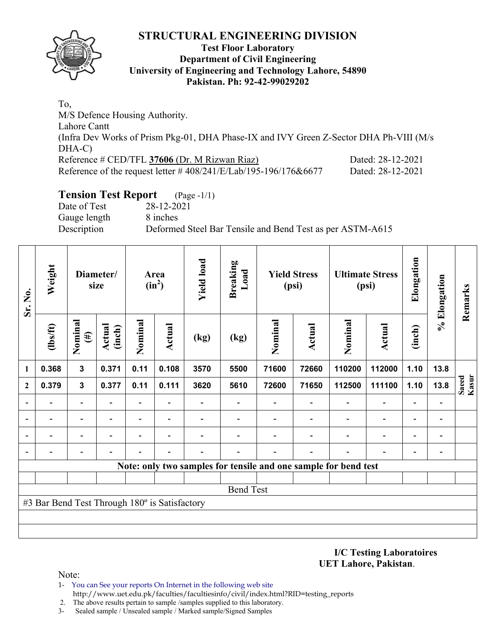

## **Test Floor Laboratory Department of Civil Engineering University of Engineering and Technology Lahore, 54890 Pakistan. Ph: 92-42-99029202**

To, M/S Defence Housing Authority. Lahore Cantt (Infra Dev Works of Prism Pkg-01, DHA Phase-IX and IVY Green Z-Sector DHA Ph-VIII (M/s DHA-C) Reference # CED/TFL **37606** (Dr. M Rizwan Riaz) Dated: 28-12-2021 Reference of the request letter # 408/241/E/Lab/195-196/176&6677 Dated: 28-12-2021

# **Tension Test Report** (Page -1/1)

Date of Test 28-12-2021 Gauge length 8 inches

Description Deformed Steel Bar Tensile and Bend Test as per ASTM-A615

| Sr. No.      | Weight                                        |                          | Diameter/<br>size       |         | Area<br>$(in^2)$         | <b>Yield load</b> | <b>Breaking</b><br>Load                                         |         | <b>Yield Stress</b><br>(psi) |                          | <b>Ultimate Stress</b><br>(psi) | Elongation               | % Elongation             | Remarks        |
|--------------|-----------------------------------------------|--------------------------|-------------------------|---------|--------------------------|-------------------|-----------------------------------------------------------------|---------|------------------------------|--------------------------|---------------------------------|--------------------------|--------------------------|----------------|
|              | $\frac{2}{10}$                                | Nominal<br>$(\#)$        | <b>Actual</b><br>(inch) | Nominal | Actual                   | (kg)              | (kg)                                                            | Nominal | <b>Actual</b>                | Nominal                  | <b>Actual</b>                   | (inch)                   |                          |                |
| 1            | 0.368                                         | $\mathbf{3}$             | 0.371                   | 0.11    | 0.108                    | 3570              | 5500                                                            | 71600   | 72660                        | 110200                   | 112000                          | 1.10                     | 13.8                     |                |
| $\mathbf{2}$ | 0.379                                         | $\mathbf{3}$             | 0.377                   | 0.11    | 0.111                    | 3620              | 5610                                                            | 72600   | 71650                        | 112500                   | 111100                          | 1.10                     | 13.8                     | Kasur<br>Saeed |
|              | $\overline{\phantom{0}}$                      | $\overline{\phantom{a}}$ |                         | Ξ.      | $\overline{\phantom{0}}$ |                   | $\overline{\phantom{0}}$                                        |         | $\overline{\phantom{0}}$     | $\overline{\phantom{0}}$ | $\overline{\phantom{0}}$        | $\overline{\phantom{0}}$ | $\blacksquare$           |                |
|              |                                               | -                        |                         | -       | $\overline{\phantom{0}}$ |                   |                                                                 |         |                              | $\overline{\phantom{0}}$ | $\overline{\phantom{a}}$        | ٠                        |                          |                |
|              |                                               | $\overline{\phantom{0}}$ |                         | -       | ٠                        |                   |                                                                 |         |                              |                          | $\overline{\phantom{0}}$        | $\overline{\phantom{0}}$ | $\overline{\phantom{0}}$ |                |
|              |                                               |                          |                         |         |                          |                   |                                                                 |         |                              |                          |                                 |                          |                          |                |
|              |                                               |                          |                         |         |                          |                   | Note: only two samples for tensile and one sample for bend test |         |                              |                          |                                 |                          |                          |                |
|              |                                               |                          |                         |         |                          |                   |                                                                 |         |                              |                          |                                 |                          |                          |                |
|              |                                               |                          |                         |         |                          |                   | <b>Bend Test</b>                                                |         |                              |                          |                                 |                          |                          |                |
|              | #3 Bar Bend Test Through 180° is Satisfactory |                          |                         |         |                          |                   |                                                                 |         |                              |                          |                                 |                          |                          |                |
|              |                                               |                          |                         |         |                          |                   |                                                                 |         |                              |                          |                                 |                          |                          |                |
|              |                                               |                          |                         |         |                          |                   |                                                                 |         |                              |                          |                                 |                          |                          |                |

**I/C Testing Laboratoires UET Lahore, Pakistan**.

- 1- You can See your reports On Internet in the following web site http://www.uet.edu.pk/faculties/facultiesinfo/civil/index.html?RID=testing\_reports
- 2. The above results pertain to sample /samples supplied to this laboratory.
- 3- Sealed sample / Unsealed sample / Marked sample/Signed Samples